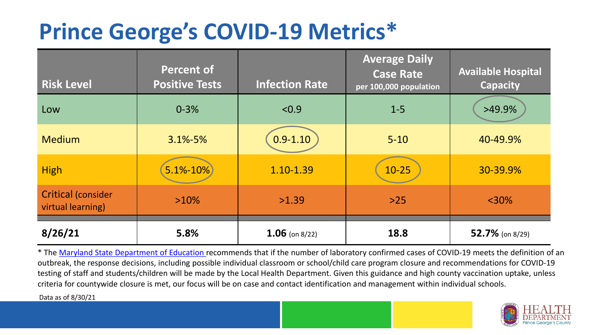## **Prince George's COVID-19 Metrics\***

| <b>Risk Level</b>                              | <b>Percent of</b><br><b>Positive Tests</b> | <b>Infection Rate</b> | <b>Average Daily</b><br><b>Case Rate</b><br>per 100,000 population | <b>Available Hospital</b><br><b>Capacity</b> |
|------------------------------------------------|--------------------------------------------|-----------------------|--------------------------------------------------------------------|----------------------------------------------|
| Low                                            | $0 - 3%$                                   | < 0.9                 | $1 - 5$                                                            | $>49.9\%$                                    |
| <b>Medium</b>                                  | $3.1\% - 5\%$                              | $0.9 - 1.10$          | $5 - 10$                                                           | 40-49.9%                                     |
| <b>High</b>                                    | $5.1% - 10%$                               | 1.10-1.39             | $10 - 25$                                                          | 30-39.9%                                     |
| <b>Critical (consider</b><br>virtual learning) | $>10\%$                                    | >1.39                 | $>25$                                                              | $<$ 30%                                      |
| 8/26/21                                        | 5.8%                                       | $1.06$ (on 8/22)      | 18.8                                                               | 52.7% (on 8/29)                              |

\* The [Maryland State Department of Education r](https://earlychildhood.marylandpublicschools.org/system/files/filedepot/3/covid_guidance_full_080420.pdf)ecommends that if the number of laboratory confirmed cases of COVID-19 meets the definition of an outbreak, the response decisions, including possible individual classroom or school/child care program closure and recommendations for COVID-19 testing of staff and students/children will be made by the Local Health Department. Given this guidance and high county vaccination uptake, unless criteria for countywide closure is met, our focus will be on case and contact identification and management within individual schools.

Data as of 8/30/21

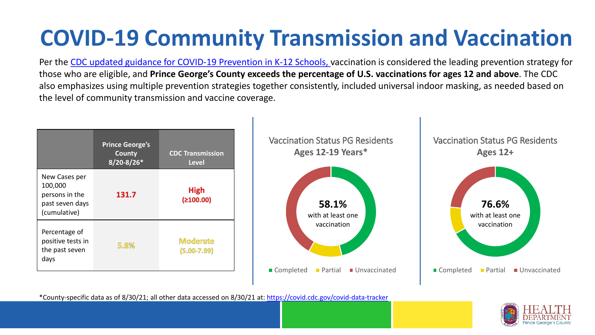# **COVID-19 Community Transmission and Vaccination**

Per the [CDC updated guidance for COVID-19 Prevention in K-12 Schools,](https://www.cdc.gov/coronavirus/2019-ncov/community/schools-childcare/k-12-guidance.html) vaccination is considered the leading prevention strategy for those who are eligible, and **Prince George's County exceeds the percentage of U.S. vaccinations for ages 12 and above**. The CDC also emphasizes using multiple prevention strategies together consistently, included universal indoor masking, as needed based on the level of community transmission and vaccine coverage.



\*County-specific data as of 8/30/21; all other data accessed on 8/30/21 at:<https://covid.cdc.gov/covid-data-tracker>

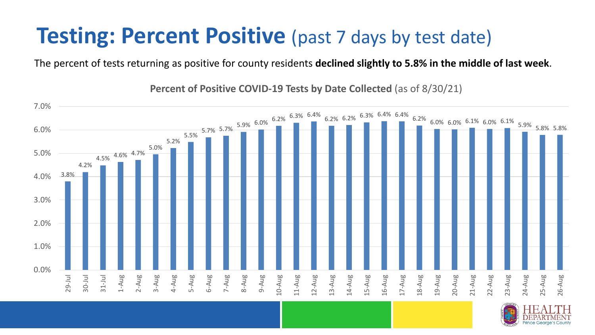#### **Testing: Percent Positive** (past 7 days by test date)

The percent of tests returning as positive for county residents **declined slightly to 5.8% in the middle of last week**.

3.8% 4.2% 4.5% 4.6% 4.7% 5.0% 5.2%  $5.5\%$  5.7% 5.7% 5.9% 6.0% 6.2% 6.3% 6.4%  $5.2\%$  6.2%  $6.3\%$  6.4% 6.4% 6.2% 6.0% 6.0% 6.1% 6.0% 6.1% 5.9% 5.8% 5.8% 0.0% 1.0% 2.0% 3.0% 4.0% 5.0% 6.0% 7.0% 29-Jul 30-Jul 31-Jul 1-Aug 2-Aug 3-Aug 4-Aug 5-Aug 6-Aug 7-Aug 8-Aug 9-Aug 10-Aug 11-Aug 12-Aug 13-Aug 14-Aug 15-Aug 16-Aug 17-Aug 18-Aug 19-Aug 20-Aug 21-Aug 22-Aug 23-Aug 24-Aug 25-Aug 26-Aug

**Percent of Positive COVID-19 Tests by Date Collected** (as of 8/30/21)

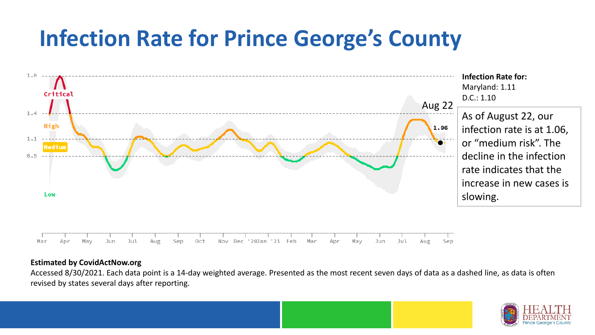## **Infection Rate for Prince George's County**



#### **Estimated by CovidActNow.org**

Accessed 8/30/2021. Each data point is a 14-day weighted average. Presented as the most recent seven days of data as a dashed line, as data is often revised by states several days after reporting.

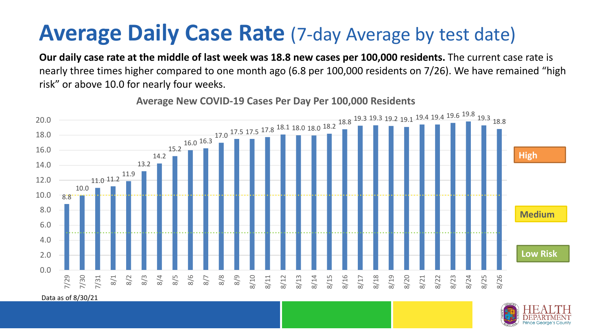### **Average Daily Case Rate** (7-day Average by test date)

**Our daily case rate at the middle of last week was 18.8 new cases per 100,000 residents.** The current case rate is nearly three times higher compared to one month ago (6.8 per 100,000 residents on 7/26). We have remained "high risk" or above 10.0 for nearly four weeks.



**Average New COVID-19 Cases Per Day Per 100,000 Residents**

Data as of 8/30/21